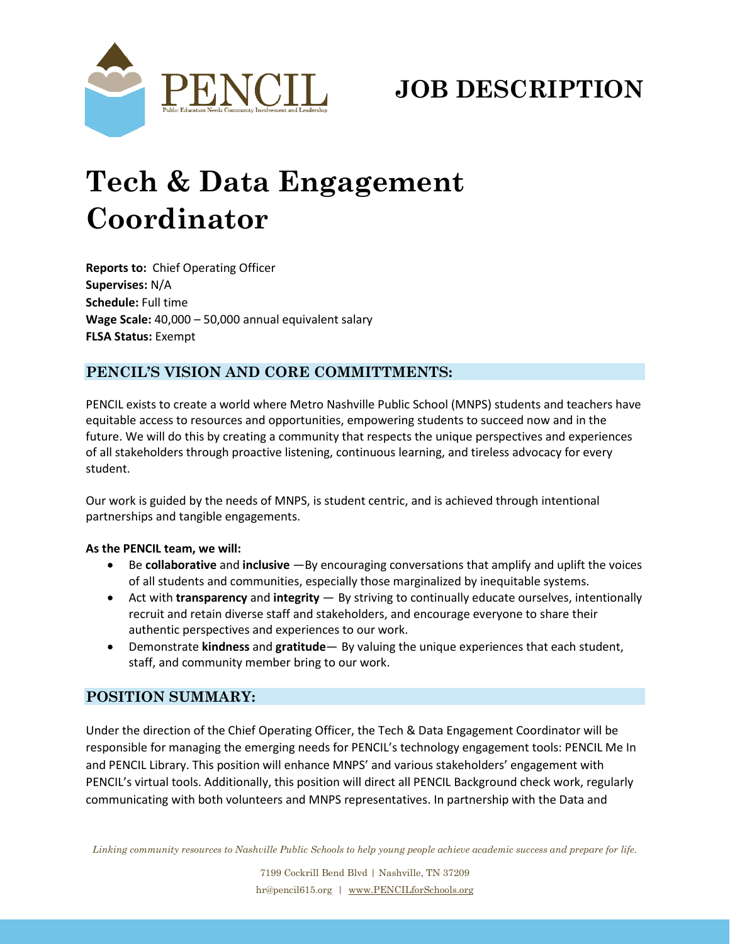

# **JOB DESCRIPTION**

# **Tech & Data Engagement Coordinator**

**Reports to:** Chief Operating Officer **Supervises:** N/A **Schedule:** Full time **Wage Scale:** 40,000 – 50,000 annual equivalent salary **FLSA Status:** Exempt

# **PENCIL'S VISION AND CORE COMMITTMENTS:**

PENCIL exists to create a world where Metro Nashville Public School (MNPS) students and teachers have equitable access to resources and opportunities, empowering students to succeed now and in the future. We will do this by creating a community that respects the unique perspectives and experiences of all stakeholders through proactive listening, continuous learning, and tireless advocacy for every student.

Our work is guided by the needs of MNPS, is student centric, and is achieved through intentional partnerships and tangible engagements.

#### **As the PENCIL team, we will:**

- Be **collaborative** and **inclusive** —By encouraging conversations that amplify and uplift the voices of all students and communities, especially those marginalized by inequitable systems.
- Act with **transparency** and **integrity** By striving to continually educate ourselves, intentionally recruit and retain diverse staff and stakeholders, and encourage everyone to share their authentic perspectives and experiences to our work.
- Demonstrate **kindness** and **gratitude** By valuing the unique experiences that each student, staff, and community member bring to our work.

## **POSITION SUMMARY:**

Under the direction of the Chief Operating Officer, the Tech & Data Engagement Coordinator will be responsible for managing the emerging needs for PENCIL's technology engagement tools: PENCIL Me In and PENCIL Library. This position will enhance MNPS' and various stakeholders' engagement with PENCIL's virtual tools. Additionally, this position will direct all PENCIL Background check work, regularly communicating with both volunteers and MNPS representatives. In partnership with the Data and

Linking community resources to Nashville Public Schools to help young people achieve academic success and prepare for life.

7199 Cockrill Bend Blvd | Nashville, TN 37209 hr@pencil615.org | [www.PENCILforSchools.org](https://pencilfd.sharepoint.com/Documents/Marketing/1%20-%20Marketing%20Materials%20for%20staff/Digital%20Letterhead/www.PENCILforSchools.org)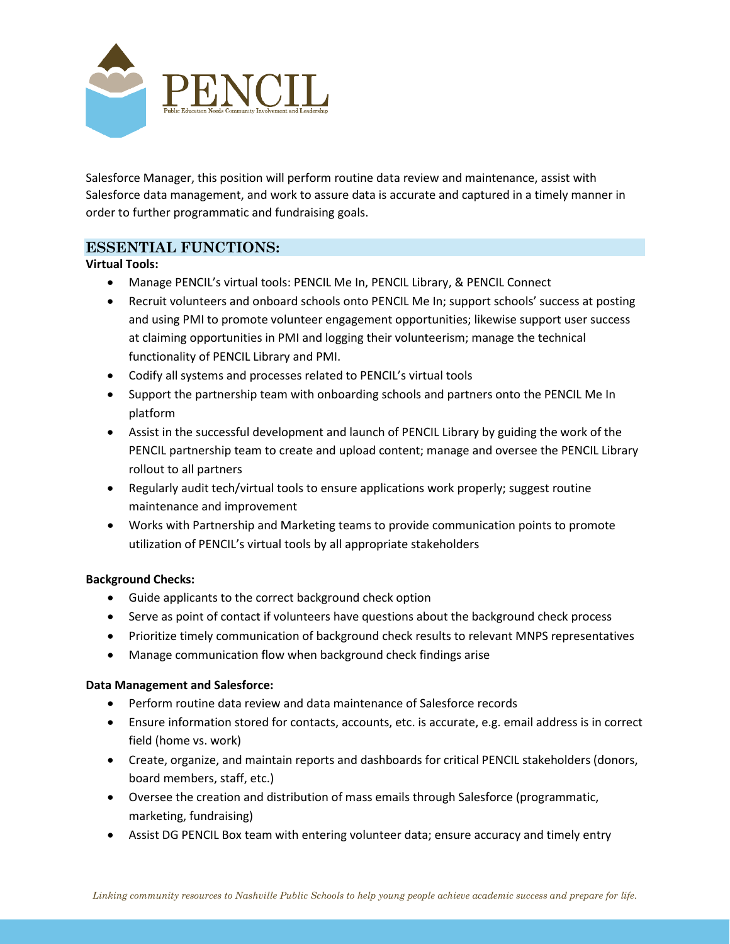

Salesforce Manager, this position will perform routine data review and maintenance, assist with Salesforce data management, and work to assure data is accurate and captured in a timely manner in order to further programmatic and fundraising goals.

## **ESSENTIAL FUNCTIONS:**

#### **Virtual Tools:**

- Manage PENCIL's virtual tools: PENCIL Me In, PENCIL Library, & PENCIL Connect
- Recruit volunteers and onboard schools onto PENCIL Me In; support schools' success at posting and using PMI to promote volunteer engagement opportunities; likewise support user success at claiming opportunities in PMI and logging their volunteerism; manage the technical functionality of PENCIL Library and PMI.
- Codify all systems and processes related to PENCIL's virtual tools
- Support the partnership team with onboarding schools and partners onto the PENCIL Me In platform
- Assist in the successful development and launch of PENCIL Library by guiding the work of the PENCIL partnership team to create and upload content; manage and oversee the PENCIL Library rollout to all partners
- Regularly audit tech/virtual tools to ensure applications work properly; suggest routine maintenance and improvement
- Works with Partnership and Marketing teams to provide communication points to promote utilization of PENCIL's virtual tools by all appropriate stakeholders

#### **Background Checks:**

- Guide applicants to the correct background check option
- Serve as point of contact if volunteers have questions about the background check process
- Prioritize timely communication of background check results to relevant MNPS representatives
- Manage communication flow when background check findings arise

#### **Data Management and Salesforce:**

- Perform routine data review and data maintenance of Salesforce records
- Ensure information stored for contacts, accounts, etc. is accurate, e.g. email address is in correct field (home vs. work)
- Create, organize, and maintain reports and dashboards for critical PENCIL stakeholders (donors, board members, staff, etc.)
- Oversee the creation and distribution of mass emails through Salesforce (programmatic, marketing, fundraising)
- Assist DG PENCIL Box team with entering volunteer data; ensure accuracy and timely entry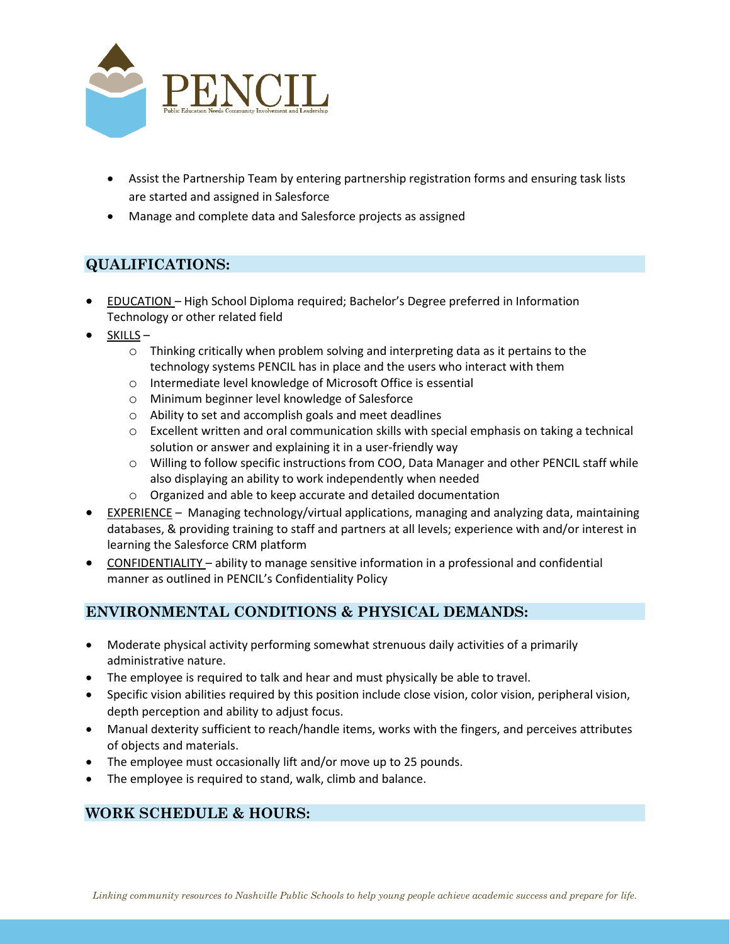

- Assist the Partnership Team by entering partnership registration forms and ensuring task lists are started and assigned in Salesforce
- Manage and complete data and Salesforce projects as assigned

# **QUALIFICATIONS:**

- EDUCATION High School Diploma required; Bachelor's Degree preferred in Information Technology or other related field
- SKILLS
	- $\circ$  Thinking critically when problem solving and interpreting data as it pertains to the technology systems PENCIL has in place and the users who interact with them
	- o Intermediate level knowledge of Microsoft Office is essential
	- o Minimum beginner level knowledge of Salesforce
	- o Ability to set and accomplish goals and meet deadlines
	- o Excellent written and oral communication skills with special emphasis on taking a technical solution or answer and explaining it in a user-friendly way
	- o Willing to follow specific instructions from COO, Data Manager and other PENCIL staff while also displaying an ability to work independently when needed
	- o Organized and able to keep accurate and detailed documentation
- EXPERIENCE Managing technology/virtual applications, managing and analyzing data, maintaining databases, & providing training to staff and partners at all levels; experience with and/or interest in learning the Salesforce CRM platform
- CONFIDENTIALITY ability to manage sensitive information in a professional and confidential manner as outlined in PENCIL's Confidentiality Policy

# **ENVIRONMENTAL CONDITIONS & PHYSICAL DEMANDS:**

- Moderate physical activity performing somewhat strenuous daily activities of a primarily administrative nature.
- The employee is required to talk and hear and must physically be able to travel.
- Specific vision abilities required by this position include close vision, color vision, peripheral vision, depth perception and ability to adjust focus.
- Manual dexterity sufficient to reach/handle items, works with the fingers, and perceives attributes of objects and materials.
- The employee must occasionally lift and/or move up to 25 pounds.
- The employee is required to stand, walk, climb and balance.

# **WORK SCHEDULE & HOURS:**